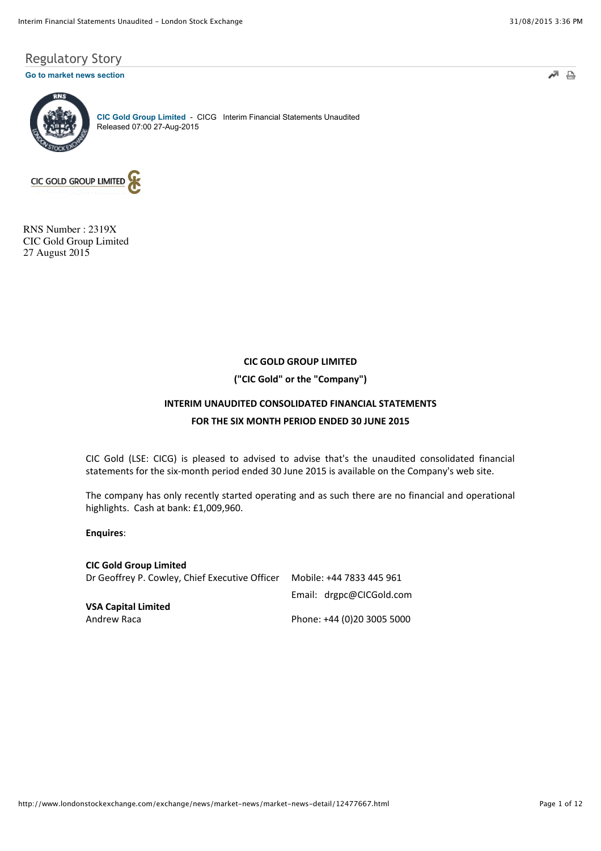$\triangle$ 

# Regulatory Story

## **[Go to market news section](javascript:%20sendto()**



**[CIC Gold Group Limited](http://www.londonstockexchange.com/exchange/prices-and-markets/stocks/summary/company-summary-via-tidm.html?tidm=CICG)** - CICG Interim Financial Statements Unaudited Released 07:00 27-Aug-2015



RNS Number : 2319X CIC Gold Group Limited 27 August 2015

# **CIC GOLD GROUP LIMITED**

**("CIC Gold" or the "Company")** 

# **INTERIM UNAUDITED CONSOLIDATED FINANCIAL STATEMENTS**

# **FOR THE SIX MONTH PERIOD ENDED 30 JUNE 2015**

CIC Gold (LSE: CICG) is pleased to advised to advise that's the unaudited consolidated financial statements for the six-month period ended 30 June 2015 is available on the Company's web site.

The company has only recently started operating and as such there are no financial and operational highlights. Cash at bank: £1,009,960.

**Enquires:** 

**CIC Gold Group Limited** Dr Geoffrey P. Cowley, Chief Executive Officer Mobile: +44 7833 445 961 Email: drgpc@CICGold.com **VSA Capital Limited** Andrew Raca **Matu and Tana 2008 2008 2009** Phone: +44 (0)20 3005 5000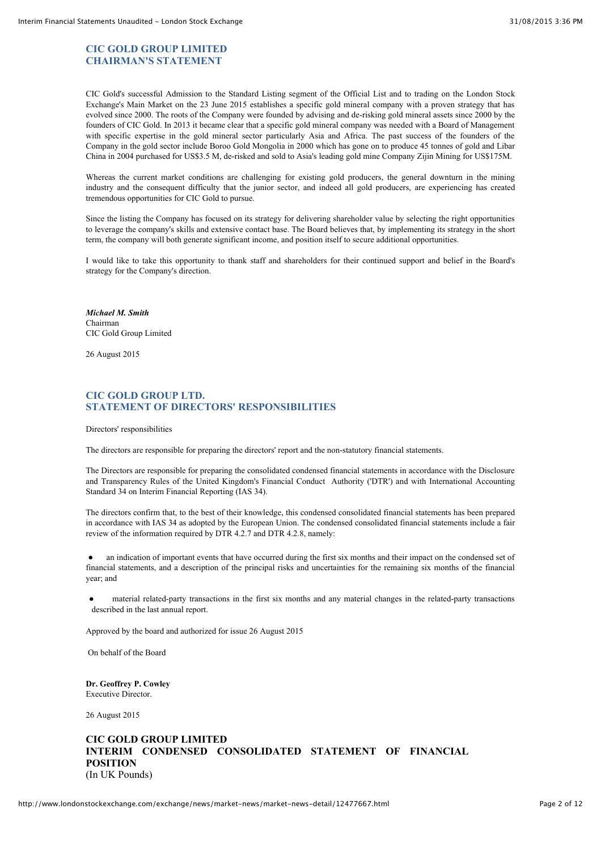# **CIC GOLD GROUP LIMITED CHAIRMAN'S STATEMENT**

CIC Gold's successful Admission to the Standard Listing segment of the Official List and to trading on the London Stock Exchange's Main Market on the 23 June 2015 establishes a specific gold mineral company with a proven strategy that has evolved since 2000. The roots of the Company were founded by advising and de-risking gold mineral assets since 2000 by the founders of CIC Gold. In 2013 it became clear that a specific gold mineral company was needed with a Board of Management with specific expertise in the gold mineral sector particularly Asia and Africa. The past success of the founders of the Company in the gold sector include Boroo Gold Mongolia in 2000 which has gone on to produce 45 tonnes of gold and Libar China in 2004 purchased for US\$3.5 M, de-risked and sold to Asia's leading gold mine Company Zijin Mining for US\$175M.

Whereas the current market conditions are challenging for existing gold producers, the general downturn in the mining industry and the consequent difficulty that the junior sector, and indeed all gold producers, are experiencing has created tremendous opportunities for CIC Gold to pursue.

Since the listing the Company has focused on its strategy for delivering shareholder value by selecting the right opportunities to leverage the company's skills and extensive contact base. The Board believes that, by implementing its strategy in the short term, the company will both generate significant income, and position itself to secure additional opportunities.

I would like to take this opportunity to thank staff and shareholders for their continued support and belief in the Board's strategy for the Company's direction.

*Michael M. Smith* Chairman CIC Gold Group Limited

26 August 2015

# **CIC GOLD GROUP LTD. STATEMENT OF DIRECTORS' RESPONSIBILITIES**

Directors' responsibilities

The directors are responsible for preparing the directors' report and the non-statutory financial statements.

The Directors are responsible for preparing the consolidated condensed financial statements in accordance with the Disclosure and Transparency Rules of the United Kingdom's Financial Conduct Authority ('DTR') and with International Accounting Standard 34 on Interim Financial Reporting (IAS 34).

The directors confirm that, to the best of their knowledge, this condensed consolidated financial statements has been prepared in accordance with IAS 34 as adopted by the European Union. The condensed consolidated financial statements include a fair review of the information required by DTR 4.2.7 and DTR 4.2.8, namely:

an indication of important events that have occurred during the first six months and their impact on the condensed set of financial statements, and a description of the principal risks and uncertainties for the remaining six months of the financial year; and

! material related-party transactions in the first six months and any material changes in the related-party transactions described in the last annual report.

Approved by the board and authorized for issue 26 August 2015

On behalf of the Board

**Dr. Geoffrey P. Cowley** Executive Director.

26 August 2015

# **CIC GOLD GROUP LIMITED INTERIM CONDENSED CONSOLIDATED STATEMENT OF FINANCIAL POSITION** (In UK Pounds)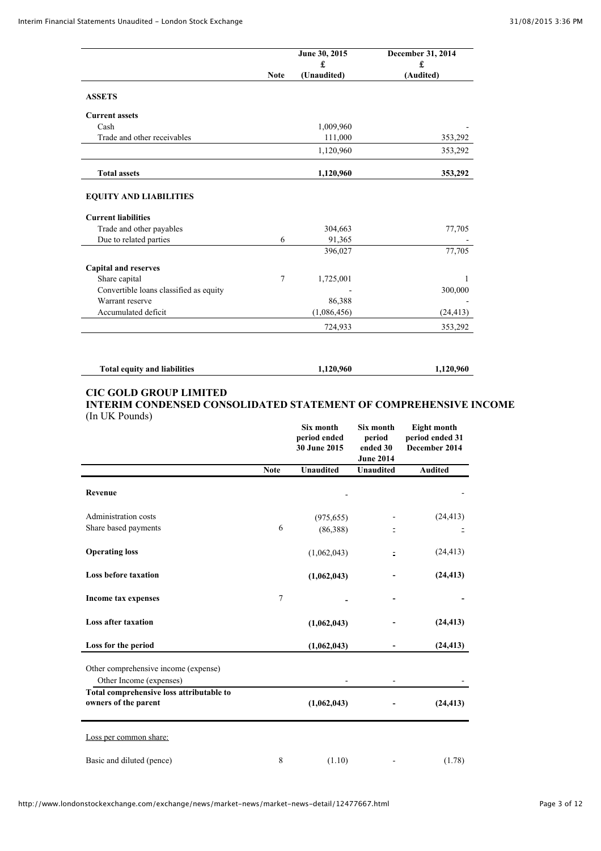|                                        |             | June 30, 2015<br>£ | December 31, 2014<br>£ |
|----------------------------------------|-------------|--------------------|------------------------|
|                                        | <b>Note</b> | (Unaudited)        | (Audited)              |
| <b>ASSETS</b>                          |             |                    |                        |
| <b>Current assets</b>                  |             |                    |                        |
| Cash                                   |             | 1,009,960          |                        |
| Trade and other receivables            |             | 111,000            | 353,292                |
|                                        |             | 1,120,960          | 353,292                |
| <b>Total assets</b>                    |             | 1,120,960          | 353,292                |
| <b>EQUITY AND LIABILITIES</b>          |             |                    |                        |
| <b>Current liabilities</b>             |             |                    |                        |
| Trade and other payables               |             | 304,663            | 77,705                 |
| Due to related parties                 | 6           | 91,365             |                        |
|                                        |             | 396,027            | 77,705                 |
| <b>Capital and reserves</b>            |             |                    |                        |
| Share capital                          | 7           | 1,725,001          | 1                      |
| Convertible loans classified as equity |             |                    | 300,000                |
| Warrant reserve                        |             | 86,388             |                        |
| Accumulated deficit                    |             | (1,086,456)        | (24, 413)              |
|                                        |             | 724,933            | 353,292                |

# **Total equity and liabilities 1,120,960 1,120,960**

## **CIC GOLD GROUP LIMITED INTERIM CONDENSED CONSOLIDATED STATEMENT OF COMPREHENSIVE INCOME**

(In UK Pounds)

|                                                                         |             | Six month<br>period ended<br>30 June 2015 | Six month<br>period<br>ended 30<br><b>June 2014</b> | Eight month<br>period ended 31<br>December 2014 |
|-------------------------------------------------------------------------|-------------|-------------------------------------------|-----------------------------------------------------|-------------------------------------------------|
|                                                                         | <b>Note</b> | <b>Unaudited</b>                          | <b>Unaudited</b>                                    | <b>Audited</b>                                  |
| Revenue                                                                 |             |                                           |                                                     |                                                 |
| Administration costs                                                    |             | (975, 655)                                |                                                     | (24, 413)                                       |
| Share based payments                                                    | 6           | (86,388)                                  |                                                     |                                                 |
| <b>Operating loss</b>                                                   |             | (1,062,043)                               | Ξ                                                   | (24, 413)                                       |
| <b>Loss before taxation</b>                                             |             | (1,062,043)                               |                                                     | (24, 413)                                       |
| Income tax expenses                                                     | 7           |                                           |                                                     |                                                 |
| <b>Loss after taxation</b>                                              |             | (1,062,043)                               |                                                     | (24, 413)                                       |
| Loss for the period                                                     |             | (1,062,043)                               |                                                     | (24, 413)                                       |
| Other comprehensive income (expense)<br>Other Income (expenses)         |             |                                           |                                                     |                                                 |
| <b>Total comprehensive loss attributable to</b><br>owners of the parent |             | (1,062,043)                               |                                                     | (24, 413)                                       |
| Loss per common share:                                                  |             |                                           |                                                     |                                                 |
| Basic and diluted (pence)                                               | 8           | (1.10)                                    |                                                     | (1.78)                                          |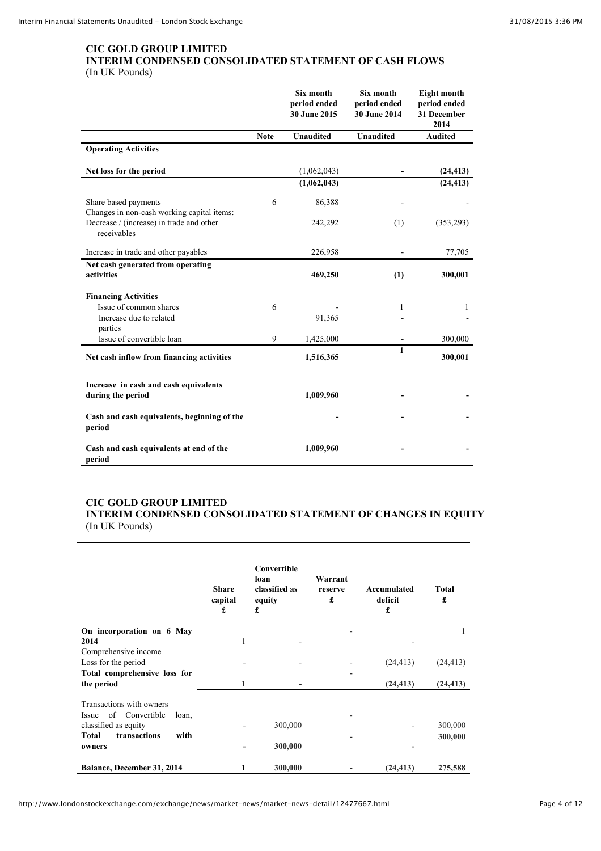## **CIC GOLD GROUP LIMITED INTERIM CONDENSED CONSOLIDATED STATEMENT OF CASH FLOWS** (In UK Pounds)

|                                                                    |             | Six month<br>period ended<br>30 June 2015 | Six month<br>period ended<br>30 June 2014 | Eight month<br>period ended<br>31 December<br>2014 |
|--------------------------------------------------------------------|-------------|-------------------------------------------|-------------------------------------------|----------------------------------------------------|
|                                                                    | <b>Note</b> | Unaudited                                 | Unaudited                                 | <b>Audited</b>                                     |
| <b>Operating Activities</b>                                        |             |                                           |                                           |                                                    |
| Net loss for the period                                            |             | (1,062,043)                               |                                           | (24, 413)                                          |
|                                                                    |             | (1,062,043)                               |                                           | (24, 413)                                          |
| Share based payments<br>Changes in non-cash working capital items: | 6           | 86,388                                    |                                           |                                                    |
| Decrease / (increase) in trade and other<br>receivables            |             | 242,292                                   | (1)                                       | (353, 293)                                         |
| Increase in trade and other payables                               |             | 226,958                                   |                                           | 77,705                                             |
| Net cash generated from operating<br>activities                    |             | 469,250                                   | (1)                                       | 300,001                                            |
| <b>Financing Activities</b>                                        |             |                                           |                                           |                                                    |
| Issue of common shares                                             | 6           |                                           | 1                                         | 1                                                  |
| Increase due to related<br>parties                                 |             | 91,365                                    |                                           |                                                    |
| Issue of convertible loan                                          | 9           | 1,425,000                                 |                                           | 300,000                                            |
| Net cash inflow from financing activities                          |             | 1,516,365                                 | $\mathbf{1}$                              | 300,001                                            |
| Increase in cash and cash equivalents<br>during the period         |             | 1,009,960                                 |                                           |                                                    |
| Cash and cash equivalents, beginning of the<br>period              |             |                                           |                                           |                                                    |
| Cash and cash equivalents at end of the<br>period                  |             | 1,009,960                                 |                                           |                                                    |

## **CIC GOLD GROUP LIMITED INTERIM CONDENSED CONSOLIDATED STATEMENT OF CHANGES IN EQUITY** (In UK Pounds)

|                                                              | <b>Share</b><br>capital<br>£ | Convertible<br>loan<br>classified as<br>equity<br>£ | Warrant<br>reserve<br>£ | Accumulated<br>deficit<br>£ | <b>Total</b><br>£  |
|--------------------------------------------------------------|------------------------------|-----------------------------------------------------|-------------------------|-----------------------------|--------------------|
| On incorporation on 6 May                                    |                              |                                                     |                         |                             | 1                  |
| 2014                                                         | 1                            |                                                     |                         |                             |                    |
| Comprehensive income                                         |                              |                                                     |                         |                             |                    |
| Loss for the period                                          |                              |                                                     |                         | (24, 413)                   | (24, 413)          |
| Total comprehensive loss for                                 |                              |                                                     |                         |                             |                    |
| the period                                                   | 1                            |                                                     |                         | (24, 413)                   | (24, 413)          |
| Transactions with owners                                     |                              |                                                     |                         |                             |                    |
| Issue of Convertible<br>loan,                                |                              |                                                     |                         |                             |                    |
| classified as equity<br><b>Total</b><br>transactions<br>with |                              | 300,000                                             |                         |                             | 300,000<br>300,000 |
| owners                                                       |                              | 300,000                                             |                         |                             |                    |
| <b>Balance, December 31, 2014</b>                            | 1                            | 300,000                                             |                         | (24, 413)                   | 275,588            |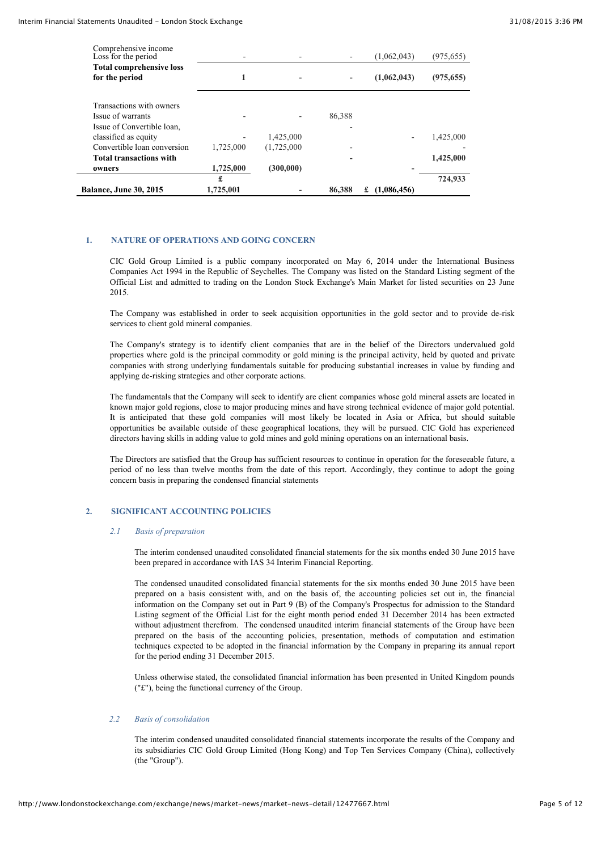| <b>Balance, June 30, 2015</b>                   | £<br>1,725,001 |             | 86,388 | (1,086,456)<br>£ | 724,933    |
|-------------------------------------------------|----------------|-------------|--------|------------------|------------|
| owners                                          | 1,725,000      | (300,000)   |        |                  |            |
| <b>Total transactions with</b>                  |                |             |        |                  | 1,425,000  |
| Convertible loan conversion                     | 1,725,000      | (1,725,000) |        |                  |            |
| classified as equity                            |                | 1,425,000   |        |                  | 1,425,000  |
| Issue of warrants<br>Issue of Convertible loan, |                |             | 86,388 |                  |            |
| Transactions with owners                        |                |             |        |                  |            |
| for the period                                  |                |             |        | (1,062,043)      | (975, 655) |
| <b>Total comprehensive loss</b>                 |                |             |        |                  |            |
| Comprehensive income<br>Loss for the period     |                |             |        | (1,062,043)      | (975, 655) |

## **1. NATURE OF OPERATIONS AND GOING CONCERN**

CIC Gold Group Limited is a public company incorporated on May 6, 2014 under the International Business Companies Act 1994 in the Republic of Seychelles. The Company was listed on the Standard Listing segment of the Official List and admitted to trading on the London Stock Exchange's Main Market for listed securities on 23 June 2015.

The Company was established in order to seek acquisition opportunities in the gold sector and to provide de-risk services to client gold mineral companies.

The Company's strategy is to identify client companies that are in the belief of the Directors undervalued gold properties where gold is the principal commodity or gold mining is the principal activity, held by quoted and private companies with strong underlying fundamentals suitable for producing substantial increases in value by funding and applying de-risking strategies and other corporate actions.

The fundamentals that the Company will seek to identify are client companies whose gold mineral assets are located in known major gold regions, close to major producing mines and have strong technical evidence of major gold potential. It is anticipated that these gold companies will most likely be located in Asia or Africa, but should suitable opportunities be available outside of these geographical locations, they will be pursued. CIC Gold has experienced directors having skills in adding value to gold mines and gold mining operations on an international basis.

The Directors are satisfied that the Group has sufficient resources to continue in operation for the foreseeable future, a period of no less than twelve months from the date of this report. Accordingly, they continue to adopt the going concern basis in preparing the condensed financial statements

## **2. SIGNIFICANT ACCOUNTING POLICIES**

#### *2.1 Basis of preparation*

The interim condensed unaudited consolidated financial statements for the six months ended 30 June 2015 have been prepared in accordance with IAS 34 Interim Financial Reporting.

The condensed unaudited consolidated financial statements for the six months ended 30 June 2015 have been prepared on a basis consistent with, and on the basis of, the accounting policies set out in, the financial information on the Company set out in Part 9 (B) of the Company's Prospectus for admission to the Standard Listing segment of the Official List for the eight month period ended 31 December 2014 has been extracted without adjustment therefrom. The condensed unaudited interim financial statements of the Group have been prepared on the basis of the accounting policies, presentation, methods of computation and estimation techniques expected to be adopted in the financial information by the Company in preparing its annual report for the period ending 31 December 2015.

Unless otherwise stated, the consolidated financial information has been presented in United Kingdom pounds ("£"), being the functional currency of the Group.

#### *2.2 Basis of consolidation*

The interim condensed unaudited consolidated financial statements incorporate the results of the Company and its subsidiaries CIC Gold Group Limited (Hong Kong) and Top Ten Services Company (China), collectively (the "Group").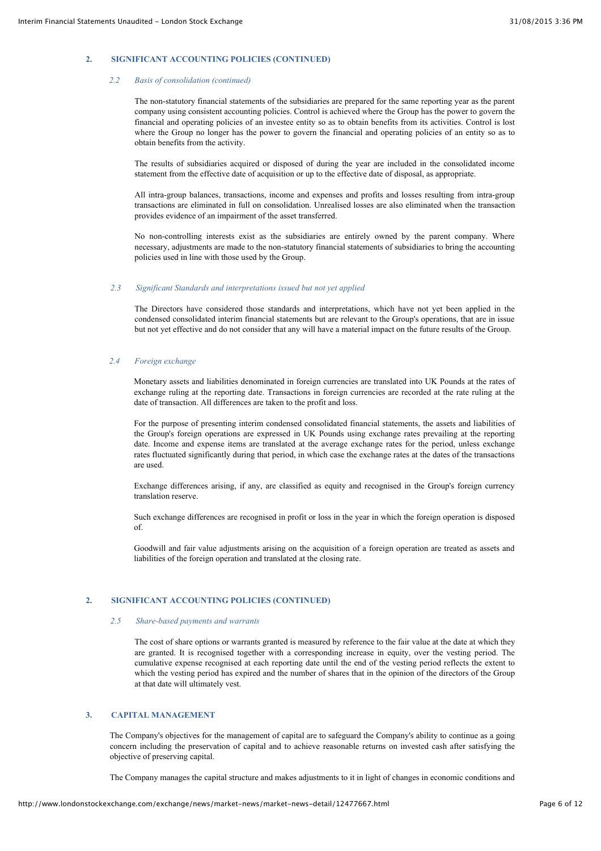## **2. SIGNIFICANT ACCOUNTING POLICIES (CONTINUED)**

#### *2.2 Basis of consolidation (continued)*

The non-statutory financial statements of the subsidiaries are prepared for the same reporting year as the parent company using consistent accounting policies. Control is achieved where the Group has the power to govern the financial and operating policies of an investee entity so as to obtain benefits from its activities. Control is lost where the Group no longer has the power to govern the financial and operating policies of an entity so as to obtain benefits from the activity.

The results of subsidiaries acquired or disposed of during the year are included in the consolidated income statement from the effective date of acquisition or up to the effective date of disposal, as appropriate.

All intra-group balances, transactions, income and expenses and profits and losses resulting from intra-group transactions are eliminated in full on consolidation. Unrealised losses are also eliminated when the transaction provides evidence of an impairment of the asset transferred.

No non-controlling interests exist as the subsidiaries are entirely owned by the parent company. Where necessary, adjustments are made to the non-statutory financial statements of subsidiaries to bring the accounting policies used in line with those used by the Group.

#### *2.3 Significant Standards and interpretations issued but not yet applied*

The Directors have considered those standards and interpretations, which have not yet been applied in the condensed consolidated interim financial statements but are relevant to the Group's operations, that are in issue but not yet effective and do not consider that any will have a material impact on the future results of the Group.

#### *2.4 Foreign exchange*

Monetary assets and liabilities denominated in foreign currencies are translated into UK Pounds at the rates of exchange ruling at the reporting date. Transactions in foreign currencies are recorded at the rate ruling at the date of transaction. All differences are taken to the profit and loss.

For the purpose of presenting interim condensed consolidated financial statements, the assets and liabilities of the Group's foreign operations are expressed in UK Pounds using exchange rates prevailing at the reporting date. Income and expense items are translated at the average exchange rates for the period, unless exchange rates fluctuated significantly during that period, in which case the exchange rates at the dates of the transactions are used.

Exchange differences arising, if any, are classified as equity and recognised in the Group's foreign currency translation reserve.

Such exchange differences are recognised in profit or loss in the year in which the foreign operation is disposed of.

Goodwill and fair value adjustments arising on the acquisition of a foreign operation are treated as assets and liabilities of the foreign operation and translated at the closing rate.

## **2. SIGNIFICANT ACCOUNTING POLICIES (CONTINUED)**

#### *2.5 Share-based payments and warrants*

The cost of share options or warrants granted is measured by reference to the fair value at the date at which they are granted. It is recognised together with a corresponding increase in equity, over the vesting period. The cumulative expense recognised at each reporting date until the end of the vesting period reflects the extent to which the vesting period has expired and the number of shares that in the opinion of the directors of the Group at that date will ultimately vest.

## **3. CAPITAL MANAGEMENT**

The Company's objectives for the management of capital are to safeguard the Company's ability to continue as a going concern including the preservation of capital and to achieve reasonable returns on invested cash after satisfying the objective of preserving capital.

The Company manages the capital structure and makes adjustments to it in light of changes in economic conditions and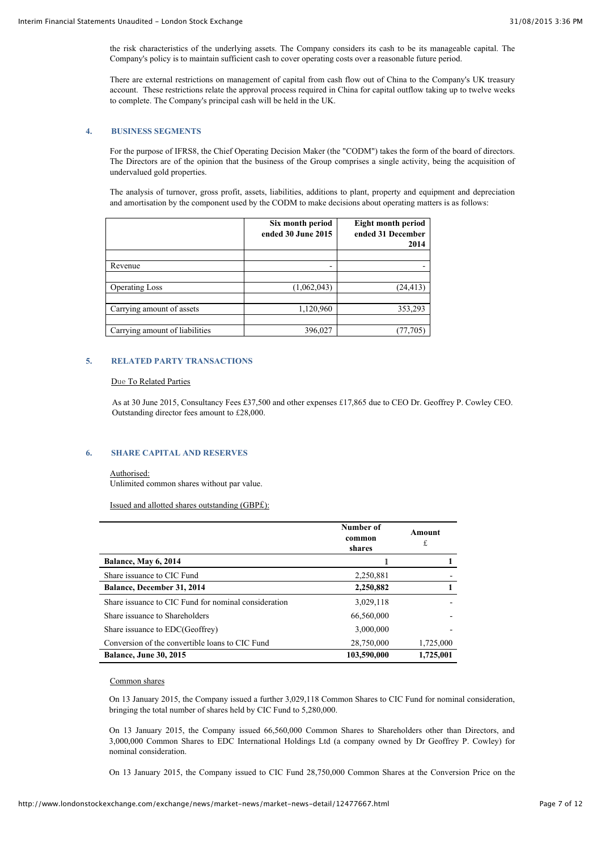the risk characteristics of the underlying assets. The Company considers its cash to be its manageable capital. The Company's policy is to maintain sufficient cash to cover operating costs over a reasonable future period.

There are external restrictions on management of capital from cash flow out of China to the Company's UK treasury account. These restrictions relate the approval process required in China for capital outflow taking up to twelve weeks to complete. The Company's principal cash will be held in the UK.

## **4. BUSINESS SEGMENTS**

For the purpose of IFRS8, the Chief Operating Decision Maker (the "CODM") takes the form of the board of directors. The Directors are of the opinion that the business of the Group comprises a single activity, being the acquisition of undervalued gold properties.

The analysis of turnover, gross profit, assets, liabilities, additions to plant, property and equipment and depreciation and amortisation by the component used by the CODM to make decisions about operating matters is as follows:

|                                | Six month period<br>ended 30 June 2015 | <b>Eight month period</b><br>ended 31 December<br>2014 |
|--------------------------------|----------------------------------------|--------------------------------------------------------|
|                                |                                        |                                                        |
| Revenue                        | -                                      |                                                        |
|                                |                                        |                                                        |
| <b>Operating Loss</b>          | (1,062,043)                            | (24, 413)                                              |
|                                |                                        |                                                        |
| Carrying amount of assets      | 1,120,960                              | 353,293                                                |
|                                |                                        |                                                        |
| Carrying amount of liabilities | 396,027                                | 77.705                                                 |

## **5. RELATED PARTY TRANSACTIONS**

#### **Due To Related Parties**

 As at 30 June 2015, Consultancy Fees £37,500 and other expenses £17,865 due to CEO Dr. Geoffrey P. Cowley CEO. Outstanding director fees amount to £28,000.

## **6. SHARE CAPITAL AND RESERVES**

#### Authorised:

Unlimited common shares without par value.

Issued and allotted shares outstanding (GBP£):

|                                                      | Number of<br>common<br>shares | Amount<br>£ |
|------------------------------------------------------|-------------------------------|-------------|
| <b>Balance, May 6, 2014</b>                          |                               |             |
| Share issuance to CIC Fund                           | 2,250,881                     |             |
| <b>Balance, December 31, 2014</b>                    | 2,250,882                     |             |
| Share issuance to CIC Fund for nominal consideration | 3,029,118                     |             |
| Share issuance to Shareholders                       | 66,560,000                    |             |
| Share issuance to EDC(Geoffrey)                      | 3,000,000                     |             |
| Conversion of the convertible loans to CIC Fund      | 28,750,000                    | 1,725,000   |
| <b>Balance, June 30, 2015</b>                        | 103,590,000                   | 1,725,001   |

#### Common shares

On 13 January 2015, the Company issued a further 3,029,118 Common Shares to CIC Fund for nominal consideration, bringing the total number of shares held by CIC Fund to 5,280,000.

On 13 January 2015, the Company issued 66,560,000 Common Shares to Shareholders other than Directors, and 3,000,000 Common Shares to EDC International Holdings Ltd (a company owned by Dr Geoffrey P. Cowley) for nominal consideration.

On 13 January 2015, the Company issued to CIC Fund 28,750,000 Common Shares at the Conversion Price on the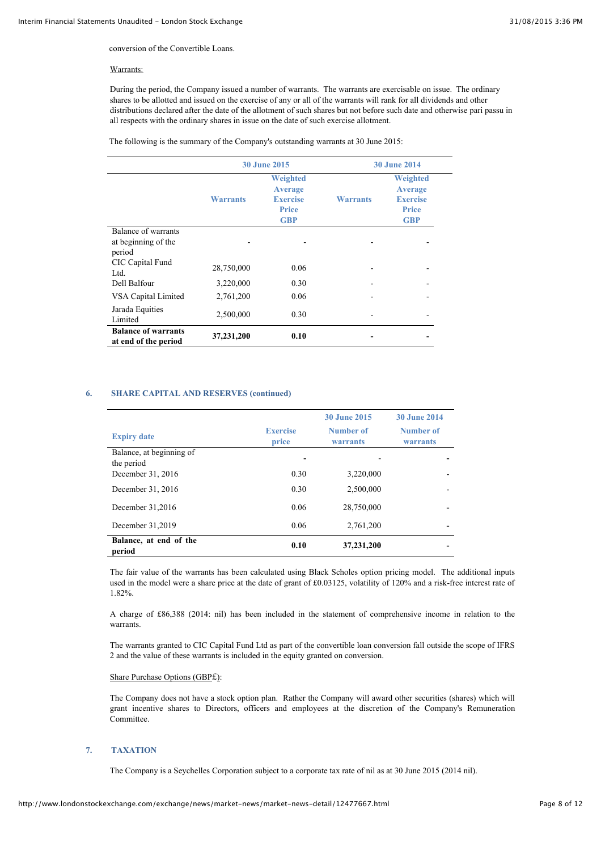conversion of the Convertible Loans.

#### Warrants:

During the period, the Company issued a number of warrants. The warrants are exercisable on issue. The ordinary shares to be allotted and issued on the exercise of any or all of the warrants will rank for all dividends and other distributions declared after the date of the allotment of such shares but not before such date and otherwise pari passu in all respects with the ordinary shares in issue on the date of such exercise allotment.

The following is the summary of the Company's outstanding warrants at 30 June 2015:

|                                                      | <b>30 June 2015</b> |                                                               | <b>30 June 2014</b> |                                                               |
|------------------------------------------------------|---------------------|---------------------------------------------------------------|---------------------|---------------------------------------------------------------|
|                                                      | <b>Warrants</b>     | Weighted<br><b>Average</b><br><b>Exercise</b><br><b>Price</b> | Warrants            | Weighted<br><b>Average</b><br><b>Exercise</b><br><b>Price</b> |
|                                                      |                     | <b>GBP</b>                                                    |                     | <b>GBP</b>                                                    |
| Balance of warrants<br>at beginning of the<br>period |                     |                                                               |                     |                                                               |
| CIC Capital Fund<br>Ltd.                             | 28,750,000          | 0.06                                                          |                     |                                                               |
| Dell Balfour                                         | 3,220,000           | 0.30                                                          |                     |                                                               |
| VSA Capital Limited                                  | 2,761,200           | 0.06                                                          |                     |                                                               |
| Jarada Equities<br>Limited                           | 2,500,000           | 0.30                                                          |                     |                                                               |
| <b>Balance of warrants</b><br>at end of the period   | 37,231,200          | 0.10                                                          |                     |                                                               |

## **6. SHARE CAPITAL AND RESERVES (continued)**

|                                        |                          | <b>30 June 2015</b>          | <b>30 June 2014</b>   |
|----------------------------------------|--------------------------|------------------------------|-----------------------|
| <b>Expiry date</b>                     | <b>Exercise</b><br>price | Number of<br><b>warrants</b> | Number of<br>warrants |
| Balance, at beginning of<br>the period |                          |                              |                       |
| December 31, 2016                      | 0.30                     | 3,220,000                    |                       |
| December 31, 2016                      | 0.30                     | 2,500,000                    |                       |
| December 31,2016                       | 0.06                     | 28,750,000                   |                       |
| December 31,2019                       | 0.06                     | 2,761,200                    |                       |
| Balance, at end of the<br>period       | 0.10                     | 37,231,200                   |                       |

The fair value of the warrants has been calculated using Black Scholes option pricing model. The additional inputs used in the model were a share price at the date of grant of £0.03125, volatility of 120% and a risk-free interest rate of 1.82%.

A charge of £86,388 (2014: nil) has been included in the statement of comprehensive income in relation to the warrants.

The warrants granted to CIC Capital Fund Ltd as part of the convertible loan conversion fall outside the scope of IFRS 2 and the value of these warrants is included in the equity granted on conversion.

#### Share Purchase Options (GBP£):

The Company does not have a stock option plan. Rather the Company will award other securities (shares) which will grant incentive shares to Directors, officers and employees at the discretion of the Company's Remuneration **Committee** 

## **7. TAXATION**

The Company is a Seychelles Corporation subject to a corporate tax rate of nil as at 30 June 2015 (2014 nil).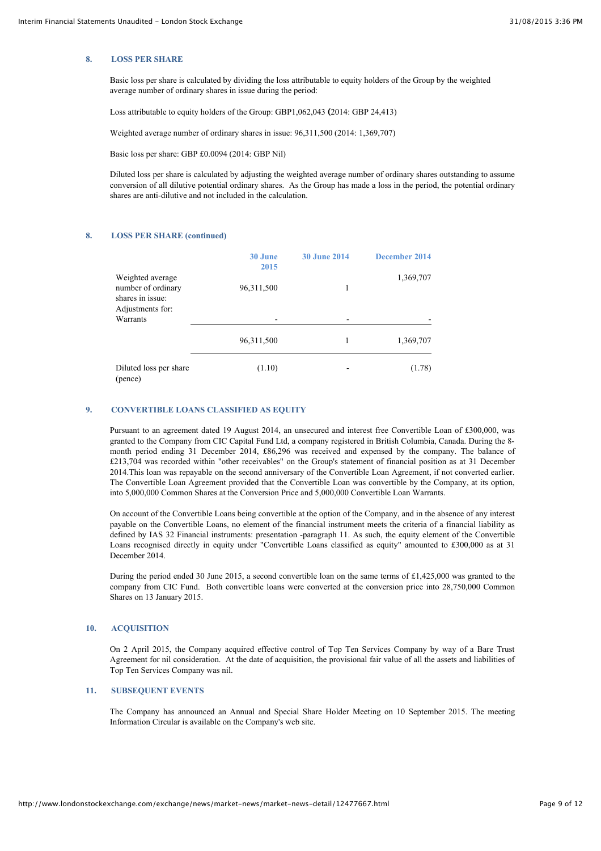#### **8. LOSS PER SHARE**

Basic loss per share is calculated by dividing the loss attributable to equity holders of the Group by the weighted average number of ordinary shares in issue during the period:

Loss attributable to equity holders of the Group: GBP1,062,043 **(**2014: GBP 24,413)

Weighted average number of ordinary shares in issue: 96,311,500 (2014: 1,369,707)

Basic loss per share: GBP £0.0094 (2014: GBP Nil)

Diluted loss per share is calculated by adjusting the weighted average number of ordinary shares outstanding to assume conversion of all dilutive potential ordinary shares. As the Group has made a loss in the period, the potential ordinary shares are anti-dilutive and not included in the calculation.

#### **8. LOSS PER SHARE (continued)**

|                                                                                | 30 June<br>2015 | <b>30 June 2014</b> | December 2014 |
|--------------------------------------------------------------------------------|-----------------|---------------------|---------------|
| Weighted average<br>number of ordinary<br>shares in issue:<br>Adjustments for: | 96,311,500      | 1                   | 1,369,707     |
| Warrants                                                                       |                 |                     |               |
|                                                                                | 96,311,500      | 1                   | 1,369,707     |
| Diluted loss per share<br>(pence)                                              | (1.10)          |                     | (1.78)        |

#### **9. CONVERTIBLE LOANS CLASSIFIED AS EQUITY**

Pursuant to an agreement dated 19 August 2014, an unsecured and interest free Convertible Loan of £300,000, was granted to the Company from CIC Capital Fund Ltd, a company registered in British Columbia, Canada. During the 8 month period ending 31 December 2014, £86,296 was received and expensed by the company. The balance of £213,704 was recorded within "other receivables" on the Group's statement of financial position as at 31 December 2014.This loan was repayable on the second anniversary of the Convertible Loan Agreement, if not converted earlier. The Convertible Loan Agreement provided that the Convertible Loan was convertible by the Company, at its option, into 5,000,000 Common Shares at the Conversion Price and 5,000,000 Convertible Loan Warrants.

On account of the Convertible Loans being convertible at the option of the Company, and in the absence of any interest payable on the Convertible Loans, no element of the financial instrument meets the criteria of a financial liability as defined by IAS 32 Financial instruments: presentation -paragraph 11. As such, the equity element of the Convertible Loans recognised directly in equity under "Convertible Loans classified as equity" amounted to £300,000 as at 31 December 2014.

During the period ended 30 June 2015, a second convertible loan on the same terms of £1,425,000 was granted to the company from CIC Fund. Both convertible loans were converted at the conversion price into 28,750,000 Common Shares on 13 January 2015.

## **10. ACQUISITION**

On 2 April 2015, the Company acquired effective control of Top Ten Services Company by way of a Bare Trust Agreement for nil consideration. At the date of acquisition, the provisional fair value of all the assets and liabilities of Top Ten Services Company was nil.

## **11. SUBSEQUENT EVENTS**

The Company has announced an Annual and Special Share Holder Meeting on 10 September 2015. The meeting Information Circular is available on the Company's web site.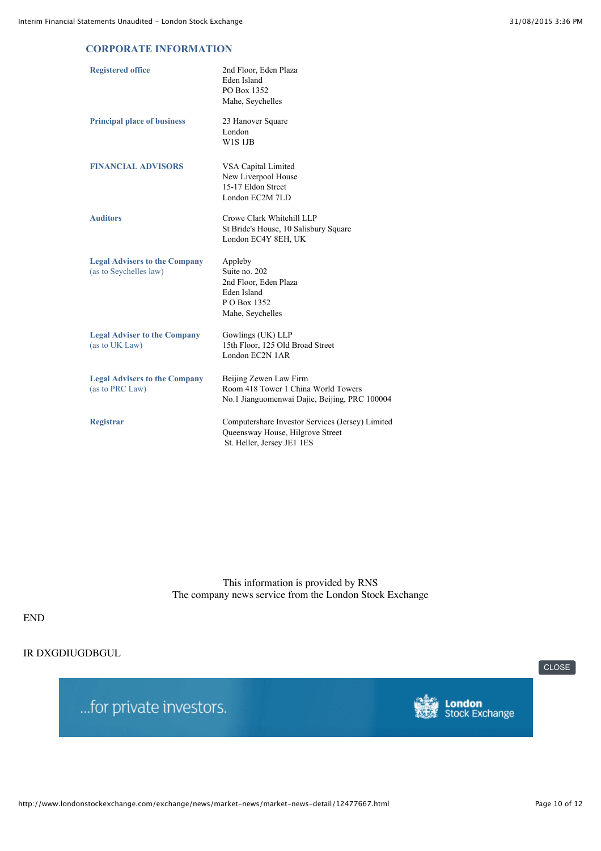## **CORPORATE INFORMATION**

| <b>Registered office</b>                                       | 2nd Floor, Eden Plaza<br>Eden Island<br>PO Box 1352<br>Mahe, Seychelles                                            |
|----------------------------------------------------------------|--------------------------------------------------------------------------------------------------------------------|
| <b>Principal place of business</b>                             | 23 Hanover Square<br>London<br>W1S1JB                                                                              |
| <b>FINANCIAL ADVISORS</b>                                      | VSA Capital Limited<br>New Liverpool House<br>15-17 Eldon Street<br>London EC2M 7LD                                |
| <b>Auditors</b>                                                | Crowe Clark Whitehill LLP<br>St Bride's House, 10 Salisbury Square<br>London EC4Y 8EH, UK                          |
| <b>Legal Advisers to the Company</b><br>(as to Seychelles law) | Appleby<br>Suite no. 202<br>2nd Floor, Eden Plaza<br>Eden Island<br>P O Box 1352<br>Mahe, Seychelles               |
| <b>Legal Adviser to the Company</b><br>(as to UK Law)          | Gowlings (UK) LLP<br>15th Floor, 125 Old Broad Street<br>London EC2N 1AR                                           |
| <b>Legal Advisers to the Company</b><br>(as to PRC Law)        | Beijing Zewen Law Firm<br>Room 418 Tower 1 China World Towers<br>No.1 Jianguomenwai Dajie, Beijing, PRC 100004     |
| <b>Registrar</b>                                               | Computershare Investor Services (Jersey) Limited<br>Queensway House, Hilgrove Street<br>St. Heller, Jersey JE1 1ES |

This information is provided by RNS The company news service from the London Stock Exchange

# END

# IR DXGDIUGDBGUL

... for private investors.



[CLOSE](javascript:self.close();)